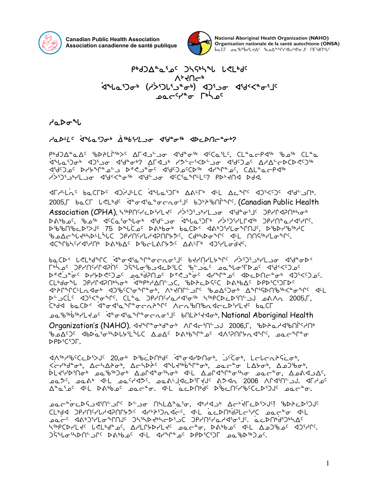

**Canadian Public Health Association Association canadienne de santé publique**



National Aboriginal Health Organization (NAHO) Organisation nationale de la santé autochtone (ONSA) pocL ออ.padexps.ryorders/app.cl

P<sup>b</sup>dJA<sup>a</sup>asas JSSbSPU LELbds  $V_7$ 4 $U_9$ 1946 Ghina Good (455) din ard Afric **pac<sup>cys</sup>o** [bho

 $d^a$ 

## Hadths 3rba90+ AsbiHoo 4deos adcdneed?

r+d)d°ad<sup>c</sup> sypth<sup>r+</sup>xc drd and did°am did and the class clamate class changer of the computation of the changer kala iday and al-box and the cost of the cost of the cost of the cost of the cost of the cost of the cost of t xd5 september synches synch and the set of the set of the set of the set of the set of the set of the set of t<br>And the set of the set of the set of the set of the set of the set of the set of the set of the set of the set httle? Phistics did and station of the control of the control of the control of the control of the control of  $\zeta$ 

**XILLAS BOCLDS XILITS ALTER AVER ATT AFTER AJEST APE JUP.** 2005. bac Lelbos deodiatoris both in Canadian Public Health

Association (CPHA), h6pn42b4Ld9 distings dideoil9 pp/pdphob pAbbم-, <sup>۹</sup>هه<sup>ه</sup> א<sup>כ</sup>כב<sup>י</sup>ס *ب*الماه איליאס פֿונע איזיגע און איירי. rtic-MS3SA5 of Daybor baCD بمكاني المستقام الكاملية المجاورة المستقامات المستقامات المستقامات المستقامات المستق ზ౨∆⊂<sub>௴</sub>ჄჄჄჁჁჁႺჂႼჄႶႷჄჄჃჂႮჁჂჇჼჽႳჄჄჁჿჅჀႠჃႵႠႮႮჇჼჄ<del>Ⴚ</del>ჅჀ xbqvn5yx3ht4 sF4vw5 scomFQ/K5 wF7u4 xg3ymi]fJ5.

vNbs2 Z?m4fqb ]x8ix3Nq8ioEi3j5 vJytym/q5 h]S3g3l4ymli xd8is2 u45 c c<sup>3</sup>>PHOCHC did Sc<sup>a</sup>ld Ball be-30 c and the line of the computation of the computation of the computation s=%) من المعرضة المعربية المعربية المعربية المعربية المعربية المعربية. المعربية المعربية المعربية ال CLbdoul JPYP4PNbhob dibpbyANC\_C, bDPcDSCC DabbAC DPDiCiJFDC 4›ንበግር፡Lռ4ل 4)የ<sup>ርና</sup>ውግግግል ለአብበሩጋቢ የሚያረጋዉ *Δግ*ιረልሁያልረ<sub>ግ</sub>ውር 4L selic diketary. CLid inflyation inprovedints to a what 2005, which be been a song 125 back in the context of the context of the context of the context of the context of the context o ch<sup>9666</sup>×42° ب<sup>26-</sup>041هـ المعرومة المستحدر المطابعة والكوائح المعاملة المعاملة والمعاملة والمعاملة والمعاملة ال Organization's (NAHO), אליר סיט ב-חול 2006,F, און 2006,F, 3ht4shors (NAHO), און

bلكم2ك جهاكو *أن الكوانية الكمك الكمك الكواشي الكواكية الكواكو* الكمك المحافظ  $DPD^{s}(\overline{C})\Gamma$ .

<u>JASHASCCDSYUS 20,05 DSUCDNIds deodrbNot, jscot, LolonAScot</u>,  $\vec{x}$   $\vec{y}$   $\vec{y}$   $\vec{y}$   $\vec{y}$   $\vec{y}$   $\vec{y}$   $\vec{y}$   $\vec{y}$   $\vec{y}$   $\vec{y}$   $\vec{y}$   $\vec{y}$   $\vec{y}$   $\vec{y}$   $\vec{y}$   $\vec{y}$   $\vec{y}$   $\vec{y}$   $\vec{y}$   $\vec{y}$   $\vec{y}$   $\vec{y}$   $\vec{y}$   $\vec{y}$   $\vec{y}$   $\vec{y}$   $\vec{y}$ كلـز<sup>4,</sup>25ki3مار كاختام الكبيرة ما الكبيرة المحافظة التاريخية مع المعاملة بكرة المحافظة التاريخية مع التاريخية kn C2016 x15 y15 y15 and the AST x16 to 2006 set of the set of the case of the case when the case when the cas  $\Delta^a a^a$ 

IMSCPS serve in Alla<sup>a</sup>a'<del>o</del>, dhad doo Acticali ibdacasa cara ahaan dan artista dari is CL<sup>6</sup>dd JPYNYLYdPNP5S dr<sup>y</sup>tSJndr(, d<sup>LL</sup> acDN6dPLc6YC sac<sup>a</sup>o dLL est the Payster of the Associate in the Pasic standard in the Said in the Said in the Said Constanct Said in t n6pCDYLt<sup>c</sup> USL69 ac, AYLL6bYLtc aac<sup>a</sup>o, Da6bac dLL Aal6asc dJ6ypc.  $G^{\mu}$ م (المعرفية) من المعرفة التي تصرف المعرفة التي تصرف المعرفة التي تصرف المعرفة التي تصرف المعرفة.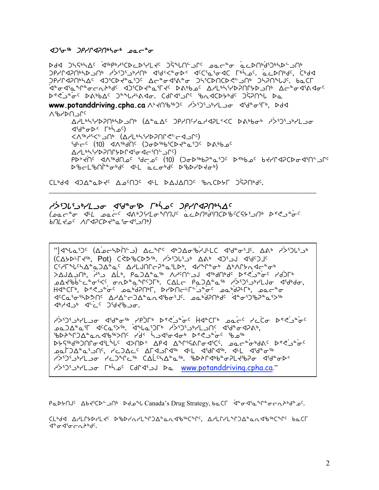#### $425\sigma$ <sup>56</sup>  $2$ *PrIMaPN*<sup>6</sup>  $20\sigma$ <sup>6</sup>

ᢂ᠊ᡆ᠂᠑ᢣ᠌ᢉᡇ᠉ᡕᡌ᠅ᡘ᠉᠀᠅ᢗᢂ᠘ᢣ᠄᠈ᡫᢋᡙ᠖᠔ᢠᡙᠾᢄ᠉᠘᠂ᢦᡆᡄᠲᠣ᠂ᢆᡆᡄᢂᠾᡃ᠀᠗᠈᠘᠈᠐ eddie that appropane that the craft of the craft of the craft of the craft of the craft of the craft of the cr ϽየሃՐϤϨϺჼኣΔ<sup>ϲ</sup>ͺϤϽჼϹϷ<del>∛</del>ჼϫჼϽ<sup>ϲ</sup>ͺϪϲ<sup>ϫ</sup>ϭ·ϤჼልჼϭͺͺϽϞჼϹϷႶϹϷ*Ϛ*ʹ·ͺͻϺ·ͺϽϞϨႶჼႱͿϾͺͺϸҩϹℾ ᠄ᡆ᠋ᢆᠣ᠊ᡏ᠍ᢥᠥ᠘ᢣᠾ᠙᠂᠂᠂᠕᠅ᢕᢂᡁᢃ᠂᠂᠂᠂᠂᠂᠂᠂᠀᠅᠐ᢣ᠀᠃᠕ᢣᠾ᠈ᡗ᠅ᢂᡧᡆ᠙ bees to babbac the carrier to the the control of the back WWW.botanddriving.cpha.ca A>ZASbbJC A>SJSJbPLJo <1590-65Fb, Dd<  $\Lambda$ % $\Lambda$ YYFP/JAYPSUPAPJUP (ALGAC JPYUCYGYAPL<<C DAPPQP Y>SJSPHLJQ  $\langle 15d^{\circ} \sigma \rangle < \Gamma^{5}$   $\langle 0, 0 \rangle$ <\\p>)\p>UC<\\p>UC<\\p>PC{\p+{\P}{\P}}{\P}{\P}{\P}} idr (10) d/wayle (JabipicDdor)c Deppo (<sup>)</sup>ף לחי האף אלאורגאיאי ולא PDᢣᡪᡃ᠓ᡬ᠂ᡏᡗᢦ᠉ᠳ᠐ᠣᡕ᠂᠙᠆ᢐᡄ᠂᠐᠐᠋᠐᠐᠘᠑ᢣ᠀᠗ᢄ᠂᠑ᢞ᠉᠈ᡆᡅᢂᢣ᠒ᢣᠢ᠀᠀ᢣᢞ᠋ᡇ᠀ Dibelibningobds dhe acords DibDrDtor)

CL<sup>6</sup>dd d)A<sup>a</sup>aldd<sup>c</sup> Aarnol dy Chauanol forclyf ogonyc.

#### *ʹϓ*ᡷ᠑ᡃ*ႱႯ᠗ᢐ᠆Ϥჼď*᠂᠗*ʹͳϻϳͺͼϓͱϒͺϓϔϒϤϡ*ͶͼϒϪ Lear<sup>e</sup>o 14 eac<sup>c</sup> 4AD3HLo4MJC acDNbd9NCD8C545JNb D853°oc

(CAYDLF Jfb, Pot) C<DfbCD3fb. (25065) AAb <Df JJ <br/> <Df JC CC/FNChACaDACaC A/LJNC-PCCLDb, 1/2000 AbAChadcCob  $>$ של ה $\gamma$ לא של היא מביא מביא מיכולי של אינחיש של האטריפי היא האליחיש בייה היא האלי HECL<sup>6</sup>, Dec-ec paballel, DIDUCTC-0<sup>0</sup>0C paballel, pac<sup>0</sup>0 <u>Ϥ<sup>ϲ</sup>Ϲ</u>ͼʹϭ·ʹϞϷᡷ᠓᠋᠅᠘ϒ᠘ʹϲ᠆ϽϪ<sup>ͼ</sup>ͼʹͷͺϤʹϸϭ·ʹ⅃ʹͺͺͺͺͺϧͼͺϧϥϡϢϧϥϲͺͺʹϥͼʹͼ·Ͻʹϧϧ϶ͼͺͼϓϧ  $4^b$ 23<sup>6</sup>  $4^c$ <sup>2</sup>  $2^d$ 36295.

ASIS - The Cicity - The Cicity - The City - The Cicity - The Cicity ᡃᡋᢂᢣ᠗᠂᠖ᢣᢞ᠂ᢐ᠉᠂ᡋ᠅᠈ᠱ᠂ᡝ᠔ᢞ᠂ᢥ᠑ᠱ᠗᠅᠀ᢞ᠅᠉ᡗ᠅᠀ᢞᢉ DYSEbdED Model and Acrissionally accepted beside Y>SJSJbLJ0 YCJqC5b CALSJAQqb. Sb>PYdbbao7Ld5b70 dSdaob< "Da www.potanddriving.cpha.ca لد ٢٥٢٩ عمر ٢٠٠١ جد ٢٠٠١/٥

CLbdd AALPYDALZC DSDPARALLLPDALaRdSbCLC, AALPALLPDALaRdSbCLCC baCF ᡏ**᠂**ᡉᡏ᠀ᠥ᠘ᠾ᠉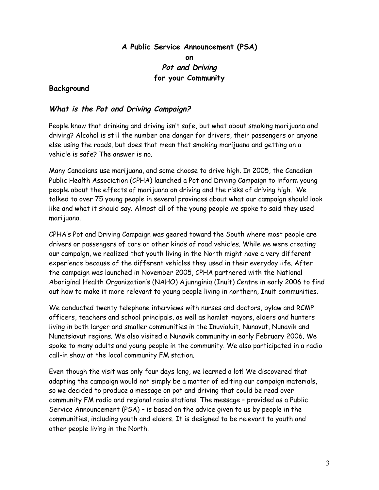**A Public Service Announcement (PSA) on Pot and Driving for your Community**

### **Background**

### **What is the Pot and Driving Campaign?**

People know that drinking and driving isn't safe, but what about smoking marijuana and driving? Alcohol is still the number one danger for drivers, their passengers or anyone else using the roads, but does that mean that smoking marijuana and getting on a vehicle is safe? The answer is no.

Many Canadians use marijuana, and some choose to drive high. In 2005, the Canadian Public Health Association (CPHA) launched a Pot and Driving Campaign to inform young people about the effects of marijuana on driving and the risks of driving high. We talked to over 75 young people in several provinces about what our campaign should look like and what it should say. Almost all of the young people we spoke to said they used marijuana.

CPHA's Pot and Driving Campaign was geared toward the South where most people are drivers or passengers of cars or other kinds of road vehicles. While we were creating our campaign, we realized that youth living in the North might have a very different experience because of the different vehicles they used in their everyday life. After the campaign was launched in November 2005, CPHA partnered with the National Aboriginal Health Organization's (NAHO) Ajunnginiq (Inuit) Centre in early 2006 to find out how to make it more relevant to young people living in northern, Inuit communities.

We conducted twenty telephone interviews with nurses and doctors, bylaw and RCMP officers, teachers and school principals, as well as hamlet mayors, elders and hunters living in both larger and smaller communities in the Inuvialuit, Nunavut, Nunavik and Nunatsiavut regions. We also visited a Nunavik community in early February 2006. We spoke to many adults and young people in the community. We also participated in a radio call-in show at the local community FM station.

Even though the visit was only four days long, we learned a lot! We discovered that adapting the campaign would not simply be a matter of editing our campaign materials, so we decided to produce a message on pot and driving that could be read over community FM radio and regional radio stations. The message – provided as a Public Service Announcement (PSA) – is based on the advice given to us by people in the communities, including youth and elders. It is designed to be relevant to youth and other people living in the North.